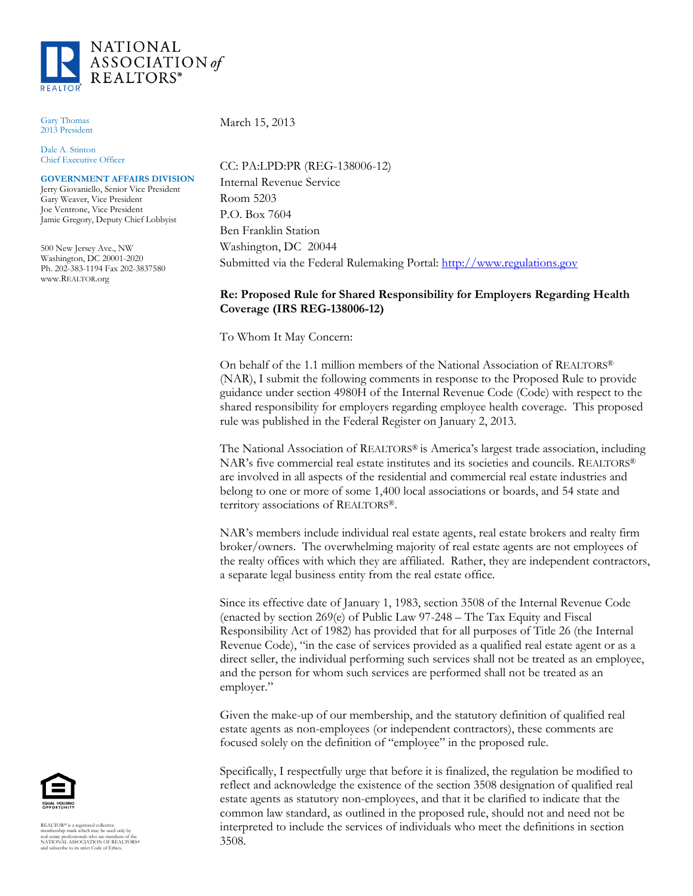

Gary Thomas 2013 President

Dale A. Stinton Chief Executive Officer

**GOVERNMENT AFFAIRS DIVISION** Jerry Giovaniello, Senior Vice President

Gary Weaver, Vice President Joe Ventrone, Vice President Jamie Gregory, Deputy Chief Lobbyist

500 New Jersey Ave., NW Washington, DC 20001-2020 Ph. 202-383-1194 Fax 202-3837580 www.REALTOR.org

March 15, 2013

CC: PA:LPD:PR (REG-138006-12) Internal Revenue Service Room 5203 P.O. Box 7604 Ben Franklin Station Washington, DC 20044 Submitted via the Federal Rulemaking Portal: [http://www.regulations.gov](http://www.regulations.gov/)

## **Re: Proposed Rule for Shared Responsibility for Employers Regarding Health Coverage (IRS REG-138006-12)**

To Whom It May Concern:

On behalf of the 1.1 million members of the National Association of REALTORS® (NAR), I submit the following comments in response to the Proposed Rule to provide guidance under section 4980H of the Internal Revenue Code (Code) with respect to the shared responsibility for employers regarding employee health coverage. This proposed rule was published in the Federal Register on January 2, 2013.

The National Association of REALTORS® is America's largest trade association, including NAR's five commercial real estate institutes and its societies and councils. REALTORS® are involved in all aspects of the residential and commercial real estate industries and belong to one or more of some 1,400 local associations or boards, and 54 state and territory associations of REALTORS®.

NAR's members include individual real estate agents, real estate brokers and realty firm broker/owners. The overwhelming majority of real estate agents are not employees of the realty offices with which they are affiliated. Rather, they are independent contractors, a separate legal business entity from the real estate office.

Since its effective date of January 1, 1983, section 3508 of the Internal Revenue Code (enacted by section 269(e) of Public Law 97-248 – The Tax Equity and Fiscal Responsibility Act of 1982) has provided that for all purposes of Title 26 (the Internal Revenue Code), "in the case of services provided as a qualified real estate agent or as a direct seller, the individual performing such services shall not be treated as an employee, and the person for whom such services are performed shall not be treated as an employer."

Given the make-up of our membership, and the statutory definition of qualified real estate agents as non-employees (or independent contractors), these comments are focused solely on the definition of "employee" in the proposed rule.

Specifically, I respectfully urge that before it is finalized, the regulation be modified to reflect and acknowledge the existence of the section 3508 designation of qualified real estate agents as statutory non-employees, and that it be clarified to indicate that the common law standard, as outlined in the proposed rule, should not and need not be interpreted to include the services of individuals who meet the definitions in section 3508.



REALTOR® is a registered collective<br>membership mark which may be used only by<br>real estate professionals who are members of the<br>NATIONAL ASSOCIATION OF REALTORS®<br>and subscribe to its strict Code of Ethics.